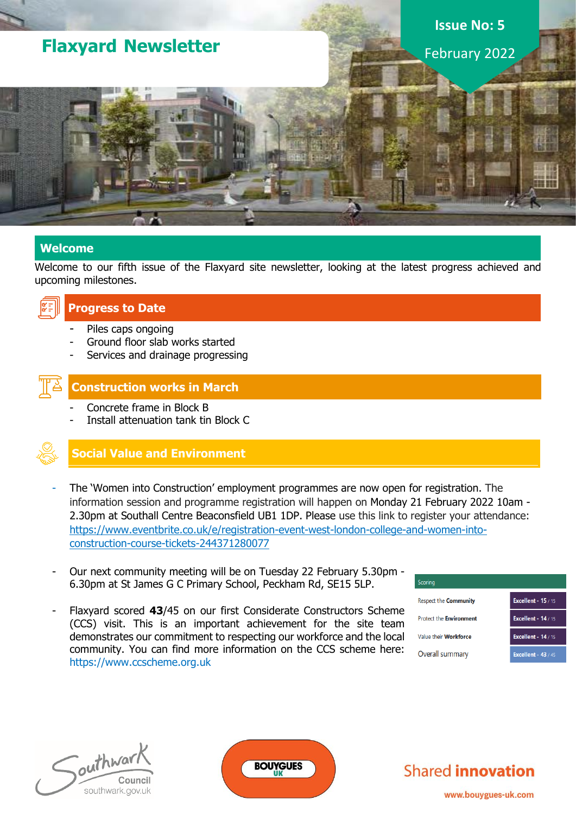# **Flaxyard Newsletter**

# **Issue No: 5**

February 2022

#### **Welcome**

Welcome to our fifth issue of the Flaxyard site newsletter, looking at the latest progress achieved and upcoming milestones.



#### **Progress to Date**

- Piles caps ongoing
- Ground floor slab works started
- Services and drainage progressing



#### **Construction works in March**

- Concrete frame in Block B
- Install attenuation tank tin Block C

### **Social Value and Environment**

- The 'Women into Construction' employment programmes are now open for registration. The information session and programme registration will happen on Monday 21 February 2022 10am - 2.30pm at Southall Centre Beaconsfield UB1 1DP. Please use this link to register your attendance: [https://www.eventbrite.co.uk/e/registration-event-west-london-college-and-women-into](https://www.eventbrite.co.uk/e/registration-event-west-london-college-and-women-into-construction-course-tickets-244371280077)[construction-course-tickets-244371280077](https://www.eventbrite.co.uk/e/registration-event-west-london-college-and-women-into-construction-course-tickets-244371280077)
- Our next community meeting will be on Tuesday 22 February 5.30pm 6.30pm at St James G C Primary School, Peckham Rd, SE15 5LP.
- Flaxyard scored **43**/45 on our first Considerate Constructors Scheme (CCS) visit. This is an important achievement for the site team demonstrates our commitment to respecting our workforce and the local community. You can find more information on the CCS scheme here: https://www.ccscheme.org.uk

| Scoring                        |                            |
|--------------------------------|----------------------------|
| <b>Respect the Community</b>   | <b>Excellent - 15 / 15</b> |
| <b>Protect the Environment</b> | <b>Excellent - 14 / 15</b> |
| Value their <b>Workforce</b>   | <b>Excellent - 14 / 15</b> |
| Overall summary                | <b>Excellent - 43 / 45</b> |





**Shared innovation** 

www.bouygues-uk.com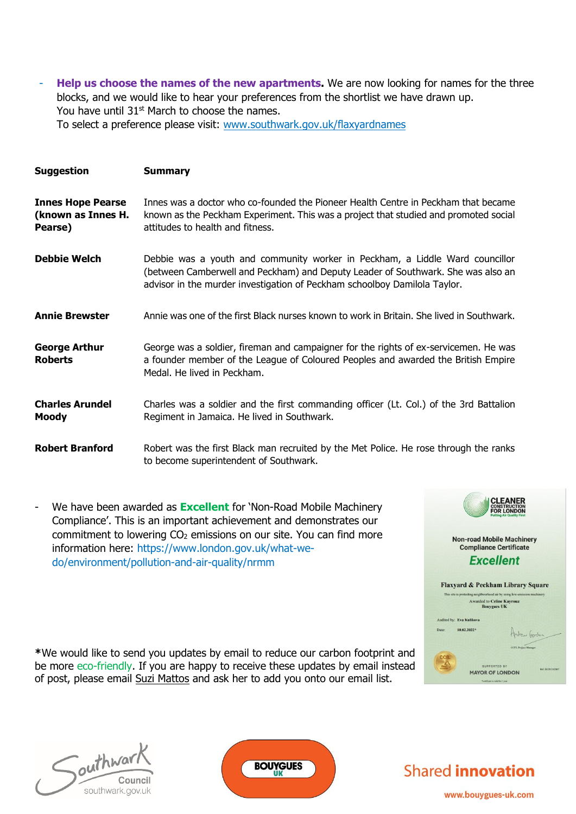Help us choose the names of the new apartments. We are now looking for names for the three blocks, and we would like to hear your preferences from the shortlist we have drawn up. You have until 31<sup>st</sup> March to choose the names. To select a preference please visit: [www.southwark.gov.uk/flaxyardnames](http://www.southwark.gov.uk/flaxyardnames)

| <b>Suggestion</b>                                         | <b>Summary</b>                                                                                                                                                                                                                                |
|-----------------------------------------------------------|-----------------------------------------------------------------------------------------------------------------------------------------------------------------------------------------------------------------------------------------------|
| <b>Innes Hope Pearse</b><br>(known as Innes H.<br>Pearse) | Innes was a doctor who co-founded the Pioneer Health Centre in Peckham that became<br>known as the Peckham Experiment. This was a project that studied and promoted social<br>attitudes to health and fitness.                                |
| <b>Debbie Welch</b>                                       | Debbie was a youth and community worker in Peckham, a Liddle Ward councillor<br>(between Camberwell and Peckham) and Deputy Leader of Southwark. She was also an<br>advisor in the murder investigation of Peckham schoolboy Damilola Taylor. |
| <b>Annie Brewster</b>                                     | Annie was one of the first Black nurses known to work in Britain. She lived in Southwark.                                                                                                                                                     |
| <b>George Arthur</b><br><b>Roberts</b>                    | George was a soldier, fireman and campaigner for the rights of ex-servicemen. He was<br>a founder member of the League of Coloured Peoples and awarded the British Empire<br>Medal. He lived in Peckham.                                      |
| <b>Charles Arundel</b><br><b>Moody</b>                    | Charles was a soldier and the first commanding officer (Lt. Col.) of the 3rd Battalion<br>Regiment in Jamaica. He lived in Southwark.                                                                                                         |
| <b>Robert Branford</b>                                    | Robert was the first Black man recruited by the Met Police. He rose through the ranks<br>to become superintendent of Southwark.                                                                                                               |

- We have been awarded as **Excellent** for 'Non-Road Mobile Machinery Compliance'. This is an important achievement and demonstrates our commitment to lowering  $CO<sub>2</sub>$  emissions on our site. You can find more information here: https://www.london.gov.uk/what-wedo/environment/pollution-and-air-quality/nrmm

**\***We would like to send you updates by email to reduce our carbon footprint and be more eco-friendly. If you are happy to receive these updates by email instead of post, please email Suzi Mattos and ask her to add you onto our email list.







**Shared innovation** 

www.bouygues-uk.com